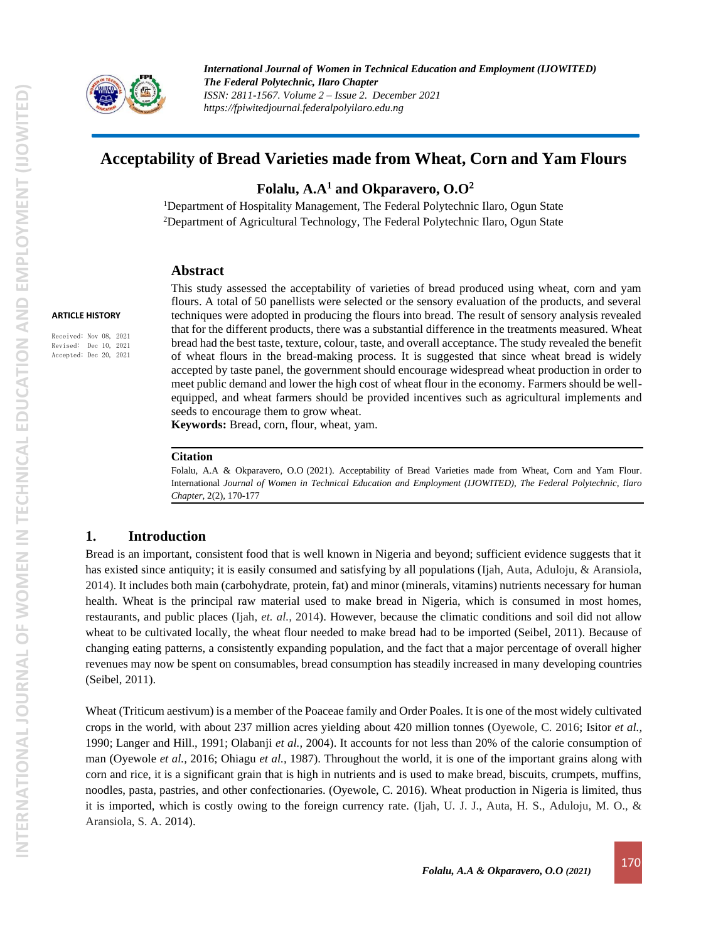

# **Acceptability of Bread Varieties made from Wheat, Corn and Yam Flours**

**Folalu, A.A<sup>1</sup> and Okparavero, O.O<sup>2</sup>**

<sup>1</sup>Department of Hospitality Management, The Federal Polytechnic Ilaro, Ogun State <sup>2</sup>Department of Agricultural Technology, The Federal Polytechnic Ilaro, Ogun State

### **Abstract**

This study assessed the acceptability of varieties of bread produced using wheat, corn and yam flours. A total of 50 panellists were selected or the sensory evaluation of the products, and several techniques were adopted in producing the flours into bread. The result of sensory analysis revealed that for the different products, there was a substantial difference in the treatments measured. Wheat bread had the best taste, texture, colour, taste, and overall acceptance. The study revealed the benefit of wheat flours in the bread-making process. It is suggested that since wheat bread is widely accepted by taste panel, the government should encourage widespread wheat production in order to meet public demand and lower the high cost of wheat flour in the economy. Farmers should be wellequipped, and wheat farmers should be provided incentives such as agricultural implements and seeds to encourage them to grow wheat.

**Keywords:** Bread, corn, flour, wheat, yam.

#### **Citation**

Folalu, A.A & Okparavero, O.O (2021). Acceptability of Bread Varieties made from Wheat, Corn and Yam Flour. International *Journal of Women in Technical Education and Employment (IJOWITED), The Federal Polytechnic, Ilaro Chapter*, 2(2), 170-177

### **1. Introduction**

Bread is an important, consistent food that is well known in Nigeria and beyond; sufficient evidence suggests that it has existed since antiquity; it is easily consumed and satisfying by all populations (Ijah, Auta, Aduloju, & Aransiola, 2014). It includes both main (carbohydrate, protein, fat) and minor (minerals, vitamins) nutrients necessary for human health. Wheat is the principal raw material used to make bread in Nigeria, which is consumed in most homes, restaurants, and public places (Ijah, *et. al.,* 2014). However, because the climatic conditions and soil did not allow wheat to be cultivated locally, the wheat flour needed to make bread had to be imported (Seibel, 2011). Because of changing eating patterns, a consistently expanding population, and the fact that a major percentage of overall higher revenues may now be spent on consumables, bread consumption has steadily increased in many developing countries (Seibel, 2011).

Wheat (Triticum aestivum) is a member of the Poaceae family and Order Poales. It is one of the most widely cultivated crops in the world, with about 237 million acres yielding about 420 million tonnes (Oyewole, C. 2016; Isitor *et al.,* 1990; Langer and Hill., 1991; Olabanji *et al.,* 2004). It accounts for not less than 20% of the calorie consumption of man (Oyewole *et al.,* 2016; Ohiagu *et al.,* 1987). Throughout the world, it is one of the important grains along with corn and rice, it is a significant grain that is high in nutrients and is used to make bread, biscuits, crumpets, muffins, noodles, pasta, pastries, and other confectionaries. (Oyewole, C. 2016). Wheat production in Nigeria is limited, thus it is imported, which is costly owing to the foreign currency rate. (Ijah, U. J. J., Auta, H. S., Aduloju, M. O., & Aransiola, S. A. 2014).

Received: Nov 08, 2021 Revised: Dec 10, 2021 Accepted: Dec 20, 2021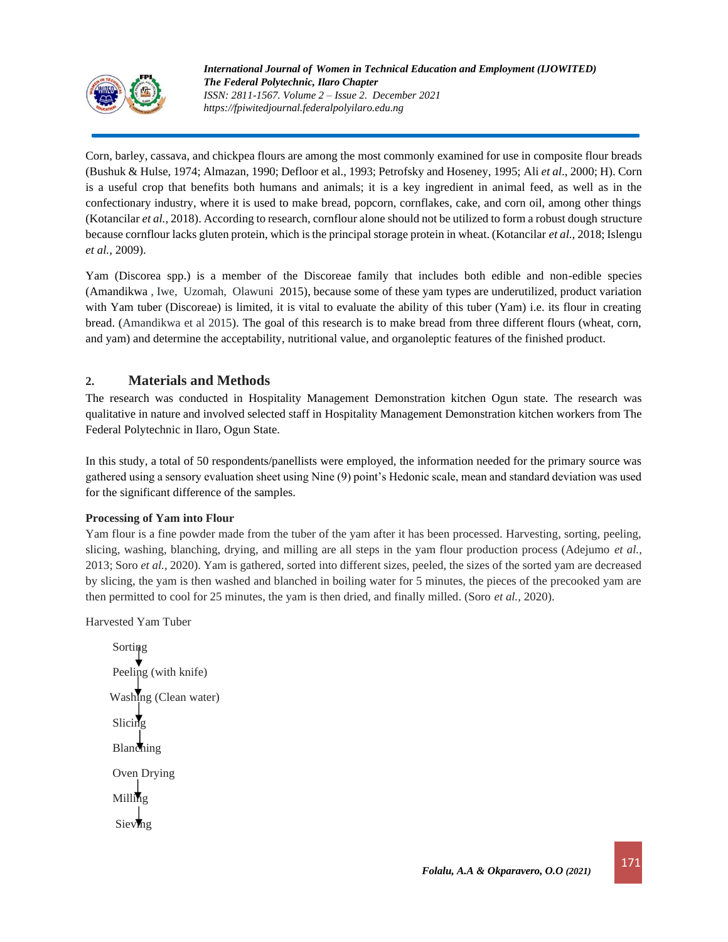

Corn, barley, cassava, and chickpea flours are among the most commonly examined for use in composite flour breads (Bushuk & Hulse, 1974; Almazan, 1990; Defloor et al., 1993; Petrofsky and Hoseney, 1995; Ali *et al*., 2000; H). Corn is a useful crop that benefits both humans and animals; it is a key ingredient in animal feed, as well as in the confectionary industry, where it is used to make bread, popcorn, cornflakes, cake, and corn oil, among other things (Kotancilar *et al.,* 2018). According to research, cornflour alone should not be utilized to form a robust dough structure because cornflour lacks gluten protein, which is the principal storage protein in wheat. (Kotancilar *et al.,* 2018; Islengu *et al.,* 2009).

Yam (Discorea spp.) is a member of the Discoreae family that includes both edible and non-edible species (Amandikwa , Iwe, Uzomah, Olawuni 2015), because some of these yam types are underutilized, product variation with Yam tuber (Discoreae) is limited, it is vital to evaluate the ability of this tuber (Yam) i.e. its flour in creating bread. (Amandikwa et al 2015). The goal of this research is to make bread from three different flours (wheat, corn, and yam) and determine the acceptability, nutritional value, and organoleptic features of the finished product.

## **2. Materials and Methods**

The research was conducted in Hospitality Management Demonstration kitchen Ogun state. The research was qualitative in nature and involved selected staff in Hospitality Management Demonstration kitchen workers from The Federal Polytechnic in Ilaro, Ogun State.

In this study, a total of 50 respondents/panellists were employed, the information needed for the primary source was gathered using a sensory evaluation sheet using Nine (9) point's Hedonic scale, mean and standard deviation was used for the significant difference of the samples.

## **Processing of Yam into Flour**

Yam flour is a fine powder made from the tuber of the yam after it has been processed. Harvesting, sorting, peeling, slicing, washing, blanching, drying, and milling are all steps in the yam flour production process (Adejumo *et al.,* 2013; Soro *et al.,* 2020). Yam is gathered, sorted into different sizes, peeled, the sizes of the sorted yam are decreased by slicing, the yam is then washed and blanched in boiling water for 5 minutes, the pieces of the precooked yam are then permitted to cool for 25 minutes, the yam is then dried, and finally milled. (Soro *et al.,* 2020).

Harvested Yam Tuber

 Sorting Peeling (with knife) Washing (Clean water) Slicing Blanching Oven Drying Milling Sieving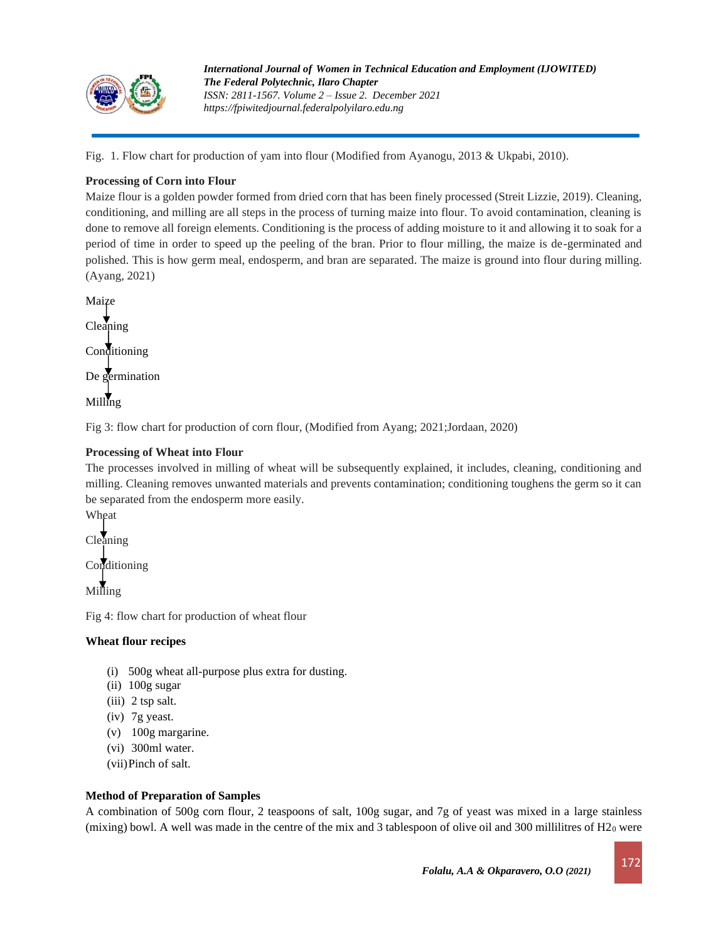

Fig. 1. Flow chart for production of yam into flour (Modified from Ayanogu, 2013 & Ukpabi, 2010).

## **Processing of Corn into Flour**

Maize flour is a golden powder formed from dried corn that has been finely processed (Streit Lizzie, 2019). Cleaning, conditioning, and milling are all steps in the process of turning maize into flour. To avoid contamination, cleaning is done to remove all foreign elements. Conditioning is the process of adding moisture to it and allowing it to soak for a period of time in order to speed up the peeling of the bran. Prior to flour milling, the maize is de-germinated and polished. This is how germ meal, endosperm, and bran are separated. The maize is ground into flour during milling. (Ayang, 2021)

Maize

Cleaning Conditioning

De germination

Milling

Fig 3: flow chart for production of corn flour, (Modified from Ayang; 2021;Jordaan, 2020)

## **Processing of Wheat into Flour**

The processes involved in milling of wheat will be subsequently explained, it includes, cleaning, conditioning and milling. Cleaning removes unwanted materials and prevents contamination; conditioning toughens the germ so it can be separated from the endosperm more easily.

Wheat Cleaning

Conditioning

Milling

Fig 4: flow chart for production of wheat flour

## **Wheat flour recipes**

- (i) 500g wheat all-purpose plus extra for dusting.
- (ii) 100g sugar
- (iii) 2 tsp salt.
- (iv) 7g [yeast.](https://www.bbcgoodfood.com/glossary/yeast-glossary)
- (v) 100g margarine.
- (vi) 300ml water.
- (vii)Pinch of salt.

## **Method of Preparation of Samples**

A combination of 500g corn flour, 2 teaspoons of salt, 100g sugar, and 7g of yeast was mixed in a large stainless (mixing) bowl. A well was made in the centre of the mix and 3 tablespoon of olive oil and 300 millilitres of  $H2<sub>0</sub>$  were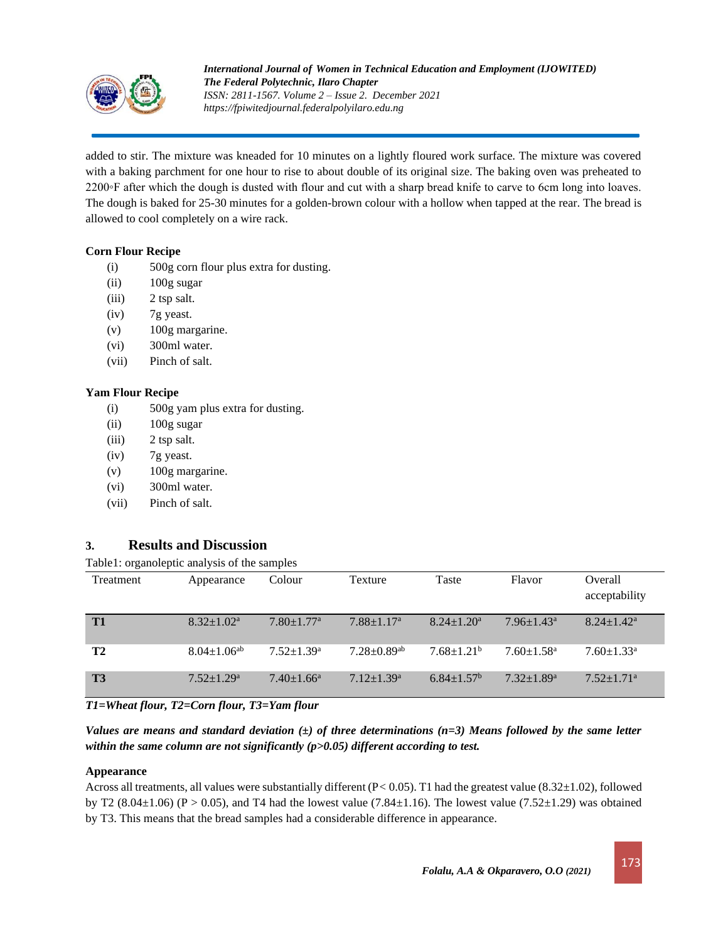

added to stir. The mixture was kneaded for 10 minutes on a lightly floured work surface. The mixture was covered with a baking parchment for one hour to rise to about double of its original size. The baking oven was preheated to 2200◦F after which the dough is dusted with flour and cut with a sharp bread knife to carve to 6cm long into loaves. The dough is baked for 25-30 minutes for a golden-brown colour with a hollow when tapped at the rear. The bread is allowed to cool completely on a wire rack.

## **Corn Flour Recipe**

- (i) 500g corn flour plus extra for dusting.
- (ii) 100g sugar
- (iii) 2 tsp salt.
- (iv) 7g [yeast.](https://www.bbcgoodfood.com/glossary/yeast-glossary)
- (v) 100g margarine.
- (vi) 300ml water.
- (vii) Pinch of salt.

### **Yam Flour Recipe**

- (i) 500g yam plus extra for dusting.
- (ii) 100g sugar
- (iii) 2 tsp salt.
- (iv) 7g [yeast.](https://www.bbcgoodfood.com/glossary/yeast-glossary)
- (v) 100g margarine.
- (vi) 300ml water.
- (vii) Pinch of salt.

## **3. Results and Discussion**

### Table1: organoleptic analysis of the samples

| Treatment      | Appearance              | Colour                       | Texture                      | Taste                        | Flavor                       | Overall<br>acceptability     |
|----------------|-------------------------|------------------------------|------------------------------|------------------------------|------------------------------|------------------------------|
| T <sub>1</sub> | $8.32 \pm 1.02^a$       | $7.80 \pm 1.77$ <sup>a</sup> | $7.88 \pm 1.17$ <sup>a</sup> | $8.24 \pm 1.20^a$            | $7.96 \pm 1.43$ <sup>a</sup> | $8.24 \pm 1.42^a$            |
| T <sub>2</sub> | $8.04 + 1.06^{ab}$      | $7.52 + 1.39$ <sup>a</sup>   | $7.28 + 0.89$ <sup>ab</sup>  | $7.68 + 1.21b$               | $7.60 \pm 1.58$ <sup>a</sup> | $7.60 \pm 1.33$ <sup>a</sup> |
| T <sub>3</sub> | $7.52 \pm 1.29^{\rm a}$ | $7.40 \pm 1.66^a$            | $7.12 \pm 1.39$ <sup>a</sup> | $6.84 \pm 1.57$ <sup>b</sup> | $7.32 + 1.89$ <sup>a</sup>   | $7.52 \pm 1.71$ <sup>a</sup> |

*T1=Wheat flour, T2=Corn flour, T3=Yam flour*

*Values are means and standard deviation (±) of three determinations (n=3) Means followed by the same letter within the same column are not significantly (p>0.05) different according to test.*

### **Appearance**

Across all treatments, all values were substantially different (P*<* 0.05). T1 had the greatest value (8.32±1.02), followed by T2 (8.04 $\pm$ 1.06) (P > 0.05), and T4 had the lowest value (7.84 $\pm$ 1.16). The lowest value (7.52 $\pm$ 1.29) was obtained by T3. This means that the bread samples had a considerable difference in appearance.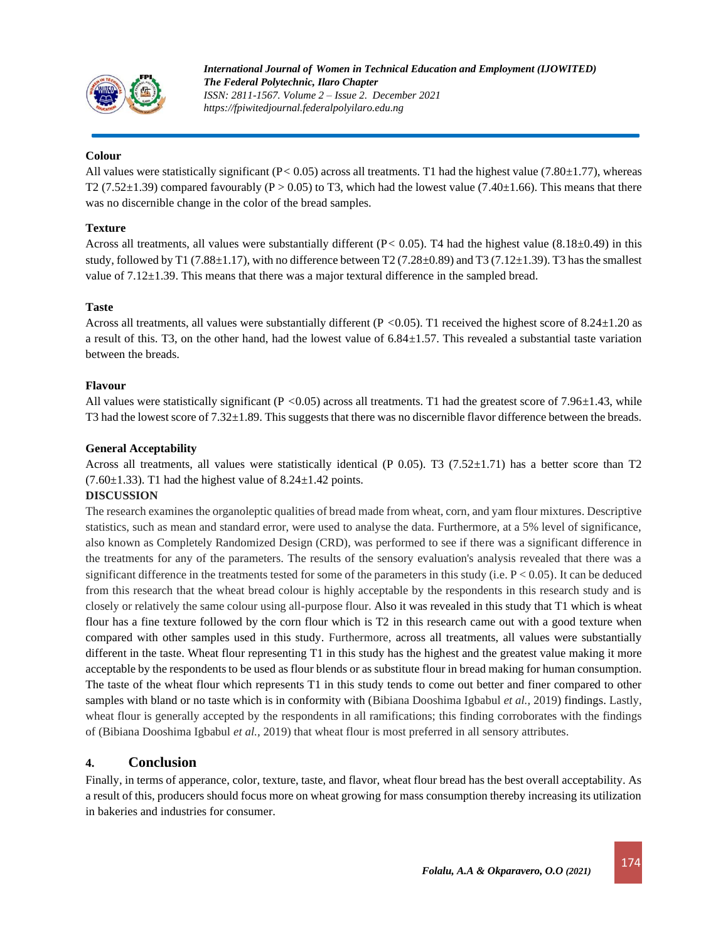

### **Colour**

All values were statistically significant (P*<* 0.05) across all treatments. T1 had the highest value (7.80±1.77), whereas T2 (7.52 $\pm$ 1.39) compared favourably (P > 0.05) to T3, which had the lowest value (7.40 $\pm$ 1.66). This means that there was no discernible change in the color of the bread samples.

### **Texture**

Across all treatments, all values were substantially different (P*<* 0.05). T4 had the highest value (8.18±0.49) in this study, followed by T1 (7.88 $\pm$ 1.17), with no difference between T2 (7.28 $\pm$ 0.89) and T3 (7.12 $\pm$ 1.39). T3 has the smallest value of  $7.12 \pm 1.39$ . This means that there was a major textural difference in the sampled bread.

### **Taste**

Across all treatments, all values were substantially different (P *<*0.05). T1 received the highest score of 8.24±1.20 as a result of this. T3, on the other hand, had the lowest value of  $6.84\pm1.57$ . This revealed a substantial taste variation between the breads.

### **Flavour**

All values were statistically significant (P <0.05) across all treatments. T1 had the greatest score of 7.96 $\pm$ 1.43, while T3 had the lowest score of 7.32±1.89. This suggests that there was no discernible flavor difference between the breads.

### **General Acceptability**

Across all treatments, all values were statistically identical (P 0.05). T3 (7.52 $\pm$ 1.71) has a better score than T2  $(7.60\pm1.33)$ . T1 had the highest value of  $8.24\pm1.42$  points.

#### **DISCUSSION**

The research examines the organoleptic qualities of bread made from wheat, corn, and yam flour mixtures. Descriptive statistics, such as mean and standard error, were used to analyse the data. Furthermore, at a 5% level of significance, also known as Completely Randomized Design (CRD), was performed to see if there was a significant difference in the treatments for any of the parameters. The results of the sensory evaluation's analysis revealed that there was a significant difference in the treatments tested for some of the parameters in this study (i.e.  $P < 0.05$ ). It can be deduced from this research that the wheat bread colour is highly acceptable by the respondents in this research study and is closely or relatively the same colour using all-purpose flour. Also it was revealed in this study that T1 which is wheat flour has a fine texture followed by the corn flour which is T2 in this research came out with a good texture when compared with other samples used in this study. Furthermore, across all treatments, all values were substantially different in the taste. Wheat flour representing T1 in this study has the highest and the greatest value making it more acceptable by the respondents to be used as flour blends or as substitute flour in bread making for human consumption. The taste of the wheat flour which represents T1 in this study tends to come out better and finer compared to other samples with bland or no taste which is in conformity with (Bibiana Dooshima Igbabul *et al.,* 2019) findings. Lastly, wheat flour is generally accepted by the respondents in all ramifications; this finding corroborates with the findings of (Bibiana Dooshima Igbabul *et al.,* 2019) that wheat flour is most preferred in all sensory attributes.

### **4. Conclusion**

Finally, in terms of apperance, color, texture, taste, and flavor, wheat flour bread has the best overall acceptability. As a result of this, producers should focus more on wheat growing for mass consumption thereby increasing its utilization in bakeries and industries for consumer.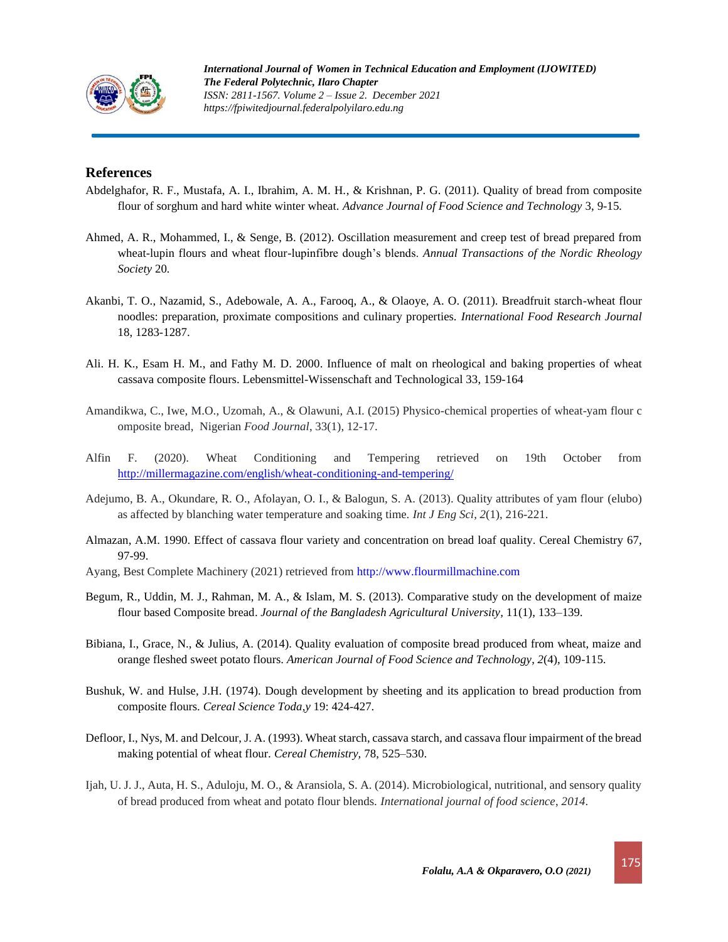

## **References**

- Abdelghafor, R. F., Mustafa, A. I., Ibrahim, A. M. H., & Krishnan, P. G. (2011). Quality of bread from composite flour of sorghum and hard white winter wheat. *Advance Journal of Food Science and Technology* 3, 9-15*.*
- Ahmed, A. R., Mohammed, I., & Senge, B. (2012). Oscillation measurement and creep test of bread prepared from wheat-lupin flours and wheat flour-lupinfibre dough's blends. *Annual Transactions of the Nordic Rheology Society* 20*.*
- Akanbi, T. O., Nazamid, S., Adebowale, A. A., Farooq, A., & Olaoye, A. O. (2011). Breadfruit starch-wheat flour noodles: preparation, proximate compositions and culinary properties. *International Food Research Journal*  18, 1283-1287.
- Ali. H. K., Esam H. M., and Fathy M. D. 2000. Influence of malt on rheological and baking properties of wheat cassava composite flours. Lebensmittel-Wissenschaft and Technological 33, 159-164
- Amandikwa, C., Iwe, M.O., Uzomah, A., & Olawuni, A.I. (2015) Physico-chemical properties of wheat-yam flour c omposite bread, Nigerian *Food Journal*, 33(1), 12-17.
- Alfin F. (2020). Wheat Conditioning and Tempering retrieved on 19th October from <http://millermagazine.com/english/wheat-conditioning-and-tempering/>
- Adejumo, B. A., Okundare, R. O., Afolayan, O. I., & Balogun, S. A. (2013). Quality attributes of yam flour (elubo) as affected by blanching water temperature and soaking time. *Int J Eng Sci*, *2*(1), 216-221.
- Almazan, A.M. 1990. Effect of cassava flour variety and concentration on bread loaf quality. Cereal Chemistry 67, 97-99.
- Ayang, Best Complete Machinery (2021) retrieved from [http://www.flourmillmachine.com](http://www.flourmillmachine.com/)
- Begum, R., Uddin, M. J., Rahman, M. A., & Islam, M. S. (2013). Comparative study on the development of maize flour based Composite bread. *Journal of the Bangladesh Agricultural University,* 11(1), 133–139*.*
- Bibiana, I., Grace, N., & Julius, A. (2014). Quality evaluation of composite bread produced from wheat, maize and orange fleshed sweet potato flours. *American Journal of Food Science and Technology*, *2*(4), 109-115.
- Bushuk, W. and Hulse, J.H. (1974). Dough development by sheeting and its application to bread production from composite flours. *Cereal Science Toda,y* 19: 424-427.
- Defloor, I., Nys, M. and Delcour, J. A. (1993). Wheat starch, cassava starch, and cassava flour impairment of the bread making potential of wheat flour. *Cereal Chemistry,* 78, 525–530.
- Ijah, U. J. J., Auta, H. S., Aduloju, M. O., & Aransiola, S. A. (2014). Microbiological, nutritional, and sensory quality of bread produced from wheat and potato flour blends. *International journal of food science*, *2014*.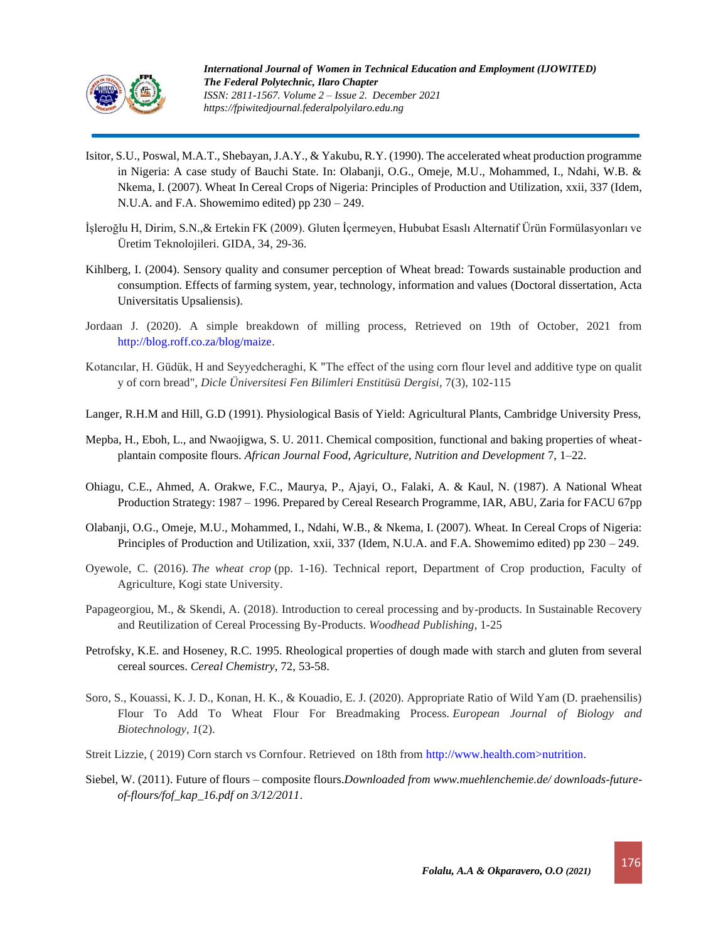

- Isitor, S.U., Poswal, M.A.T., Shebayan, J.A.Y., & Yakubu, R.Y. (1990). The accelerated wheat production programme in Nigeria: A case study of Bauchi State. In: Olabanji, O.G., Omeje, M.U., Mohammed, I., Ndahi, W.B. & Nkema, I. (2007). Wheat In Cereal Crops of Nigeria: Principles of Production and Utilization, xxii, 337 (Idem, N.U.A. and F.A. Showemimo edited) pp 230 – 249.
- İşleroğlu H, Dirim, S.N.,& Ertekin FK (2009). Gluten İçermeyen, Hububat Esaslı Alternatif Ürün Formülasyonları ve Üretim Teknolojileri. GIDA, 34, 29-36.
- Kihlberg, I. (2004). Sensory quality and consumer perception of Wheat bread: Towards sustainable production and consumption. Effects of farming system, year, technology, information and values (Doctoral dissertation, Acta Universitatis Upsaliensis).
- Jordaan J. (2020). A simple breakdown of milling process, Retrieved on 19th of October, 2021 from [http://blog.roff.co.za/blog/maize.](http://blog.roff.co.za/blog/maize)
- Kotancılar, H. Güdük, H and Seyyedcheraghi, K "The effect of the using corn flour level and additive type on qualit y of corn bread", *Dicle Üniversitesi Fen Bilimleri Enstitüsü Dergisi*, 7(3), 102-115
- Langer, R.H.M and Hill, G.D (1991). Physiological Basis of Yield: Agricultural Plants, Cambridge University Press,
- Mepba, H., Eboh, L., and Nwaojigwa, S. U. 2011. Chemical composition, functional and baking properties of wheatplantain composite flours. *African Journal Food, Agriculture, Nutrition and Development* 7, 1–22.
- Ohiagu, C.E., Ahmed, A. Orakwe, F.C., Maurya, P., Ajayi, O., Falaki, A. & Kaul, N. (1987). A National Wheat Production Strategy: 1987 – 1996. Prepared by Cereal Research Programme, IAR, ABU, Zaria for FACU 67pp
- Olabanji, O.G., Omeje, M.U., Mohammed, I., Ndahi, W.B., & Nkema, I. (2007). Wheat. In Cereal Crops of Nigeria: Principles of Production and Utilization, xxii, 337 (Idem, N.U.A. and F.A. Showemimo edited) pp 230 – 249.
- Oyewole, C. (2016). *The wheat crop* (pp. 1-16). Technical report, Department of Crop production, Faculty of Agriculture, Kogi state University.
- Papageorgiou, M., & Skendi, A. (2018). Introduction to cereal processing and by-products. In Sustainable Recovery and Reutilization of Cereal Processing By-Products. *Woodhead Publishing*, 1-25
- Petrofsky, K.E. and Hoseney, R.C. 1995. Rheological properties of dough made with starch and gluten from several cereal sources. *Cereal Chemistry*, 72, 53-58.
- Soro, S., Kouassi, K. J. D., Konan, H. K., & Kouadio, E. J. (2020). Appropriate Ratio of Wild Yam (D. praehensilis) Flour To Add To Wheat Flour For Breadmaking Process. *European Journal of Biology and Biotechnology*, *1*(2).
- Streit Lizzie, ( 2019) Corn starch vs Cornfour. Retrieved on 18th from http://www.health.com>nutrition.
- Siebel, W. (2011). Future of flours composite flours.*Downloaded from www.muehlenchemie.de/ downloads-futureof-flours/fof\_kap\_16.pdf on 3/12/2011*.